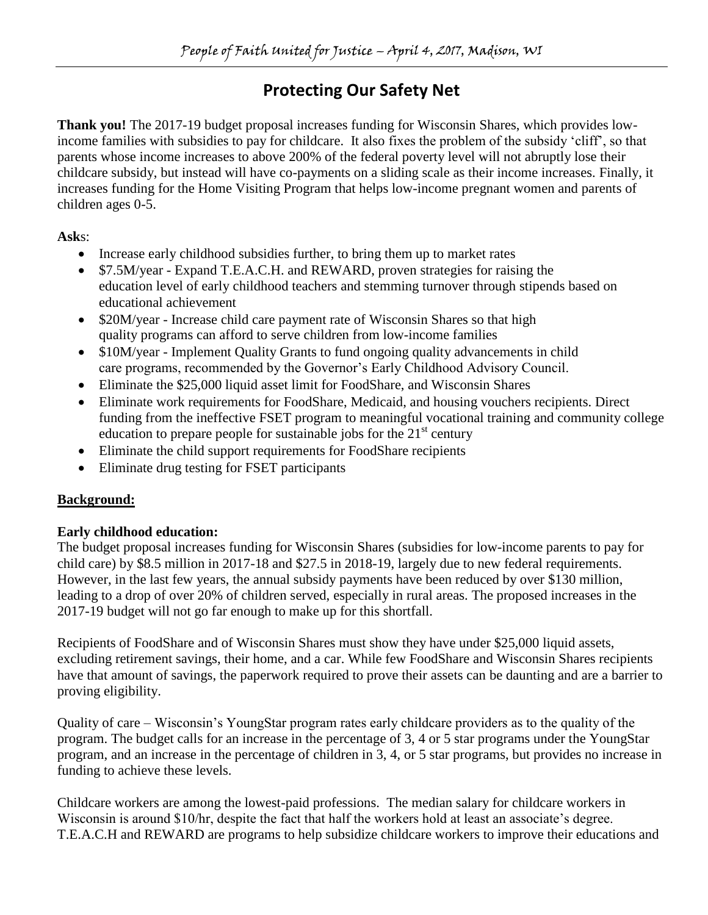# **Protecting Our Safety Net**

**Thank you!** The 2017-19 budget proposal increases funding for Wisconsin Shares, which provides lowincome families with subsidies to pay for childcare. It also fixes the problem of the subsidy 'cliff', so that parents whose income increases to above 200% of the federal poverty level will not abruptly lose their childcare subsidy, but instead will have co-payments on a sliding scale as their income increases. Finally, it increases funding for the Home Visiting Program that helps low-income pregnant women and parents of children ages 0-5.

**Ask**s:

- Increase early childhood subsidies further, to bring them up to market rates
- \$7.5M/year Expand T.E.A.C.H. and REWARD, proven strategies for raising the education level of early childhood teachers and stemming turnover through stipends based on educational achievement
- \$20M/year Increase child care payment rate of Wisconsin Shares so that high quality programs can afford to serve children from low-income families
- \$10M/year Implement Quality Grants to fund ongoing quality advancements in child care programs, recommended by the Governor's Early Childhood Advisory Council.
- Eliminate the \$25,000 liquid asset limit for FoodShare, and Wisconsin Shares
- Eliminate work requirements for FoodShare, Medicaid, and housing vouchers recipients. Direct funding from the ineffective FSET program to meaningful vocational training and community college education to prepare people for sustainable jobs for the  $21<sup>st</sup>$  century
- Eliminate the child support requirements for FoodShare recipients
- Eliminate drug testing for FSET participants

## **Background:**

## **Early childhood education:**

The budget proposal increases funding for Wisconsin Shares (subsidies for low-income parents to pay for child care) by \$8.5 million in 2017-18 and \$27.5 in 2018-19, largely due to new federal requirements. However, in the last few years, the annual subsidy payments have been reduced by over \$130 million, leading to a drop of over 20% of children served, especially in rural areas. The proposed increases in the 2017-19 budget will not go far enough to make up for this shortfall.

Recipients of FoodShare and of Wisconsin Shares must show they have under \$25,000 liquid assets, excluding retirement savings, their home, and a car. While few FoodShare and Wisconsin Shares recipients have that amount of savings, the paperwork required to prove their assets can be daunting and are a barrier to proving eligibility.

Quality of care – Wisconsin's YoungStar program rates early childcare providers as to the quality of the program. The budget calls for an increase in the percentage of 3, 4 or 5 star programs under the YoungStar program, and an increase in the percentage of children in 3, 4, or 5 star programs, but provides no increase in funding to achieve these levels.

Childcare workers are among the lowest-paid professions. The median salary for childcare workers in Wisconsin is around \$10/hr, despite the fact that half the workers hold at least an associate's degree. T.E.A.C.H and REWARD are programs to help subsidize childcare workers to improve their educations and